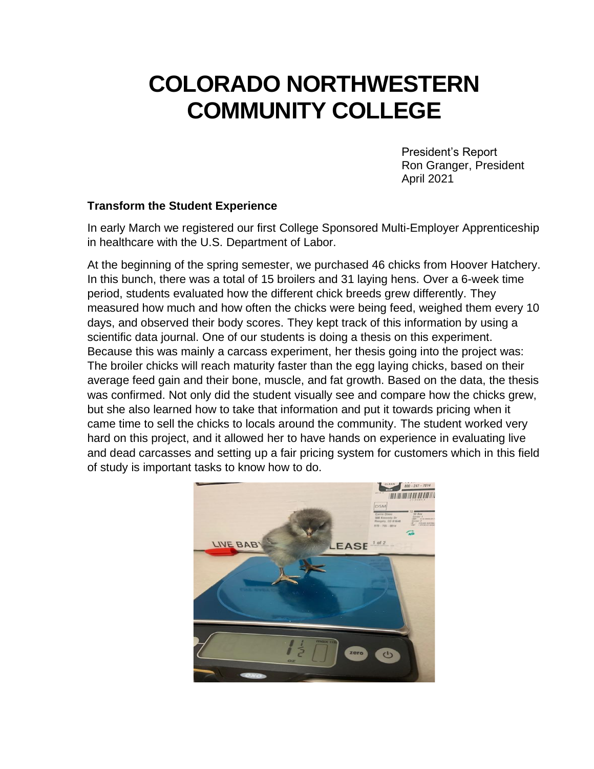# **COLORADO NORTHWESTERN COMMUNITY COLLEGE**

President's Report Ron Granger, President April 2021

#### **Transform the Student Experience**

In early March we registered our first College Sponsored Multi-Employer Apprenticeship in healthcare with the U.S. Department of Labor.

At the beginning of the spring semester, we purchased 46 chicks from Hoover Hatchery. In this bunch, there was a total of 15 broilers and 31 laying hens. Over a 6-week time period, students evaluated how the different chick breeds grew differently. They measured how much and how often the chicks were being feed, weighed them every 10 days, and observed their body scores. They kept track of this information by using a scientific data journal. One of our students is doing a thesis on this experiment. Because this was mainly a carcass experiment, her thesis going into the project was: The broiler chicks will reach maturity faster than the egg laying chicks, based on their average feed gain and their bone, muscle, and fat growth. Based on the data, the thesis was confirmed. Not only did the student visually see and compare how the chicks grew, but she also learned how to take that information and put it towards pricing when it came time to sell the chicks to locals around the community. The student worked very hard on this project, and it allowed her to have hands on experience in evaluating live and dead carcasses and setting up a fair pricing system for customers which in this field of study is important tasks to know how to do.

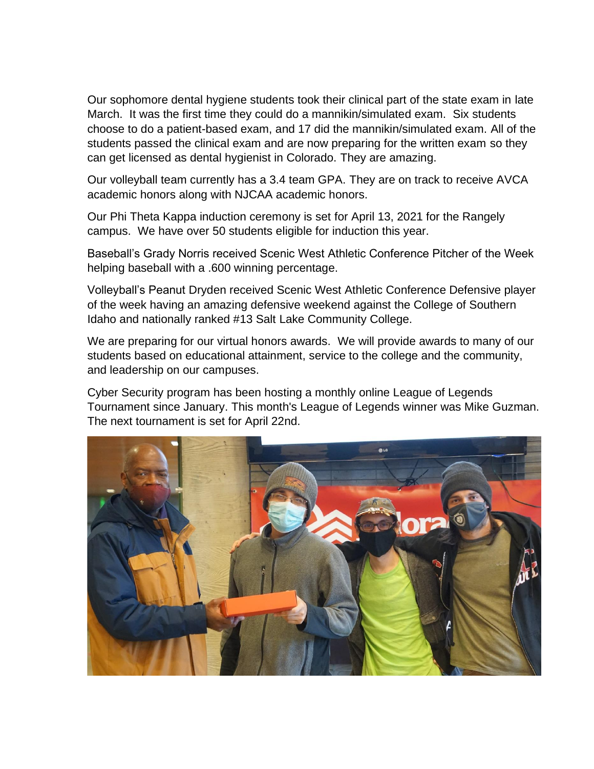Our sophomore dental hygiene students took their clinical part of the state exam in late March. It was the first time they could do a mannikin/simulated exam. Six students choose to do a patient-based exam, and 17 did the mannikin/simulated exam. All of the students passed the clinical exam and are now preparing for the written exam so they can get licensed as dental hygienist in Colorado. They are amazing.

Our volleyball team currently has a 3.4 team GPA. They are on track to receive AVCA academic honors along with NJCAA academic honors.

Our Phi Theta Kappa induction ceremony is set for April 13, 2021 for the Rangely campus. We have over 50 students eligible for induction this year.

Baseball's Grady Norris received Scenic West Athletic Conference Pitcher of the Week helping baseball with a .600 winning percentage.

Volleyball's Peanut Dryden received Scenic West Athletic Conference Defensive player of the week having an amazing defensive weekend against the College of Southern Idaho and nationally ranked #13 Salt Lake Community College.

We are preparing for our virtual honors awards. We will provide awards to many of our students based on educational attainment, service to the college and the community, and leadership on our campuses.

Cyber Security program has been hosting a monthly online League of Legends Tournament since January. This month's League of Legends winner was Mike Guzman. The next tournament is set for April 22nd.

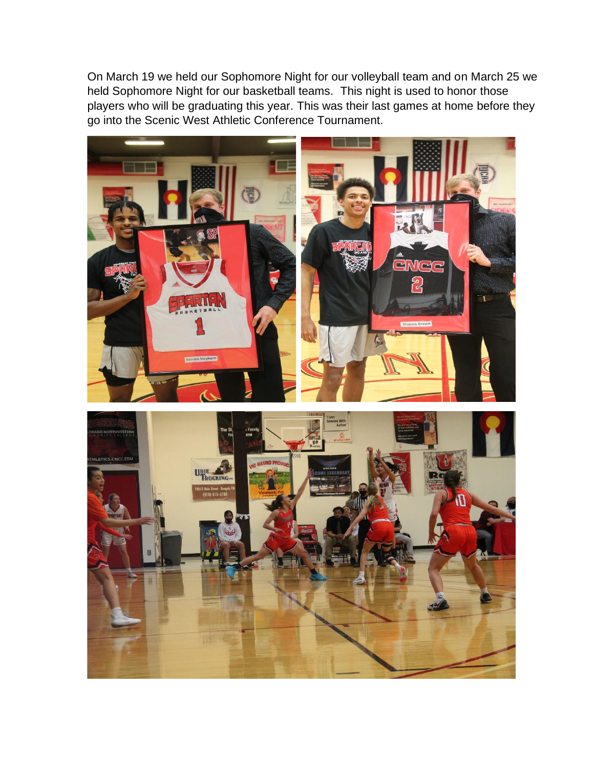On March 19 we held our Sophomore Night for our volleyball team and on March 25 we held Sophomore Night for our basketball teams. This night is used to honor those players who will be graduating this year. This was their last games at home before they go into the Scenic West Athletic Conference Tournament.

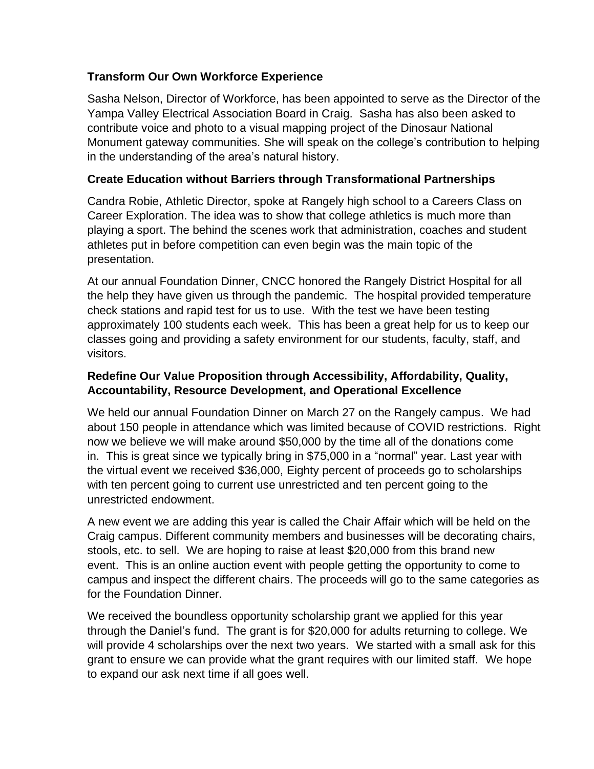# **Transform Our Own Workforce Experience**

Sasha Nelson, Director of Workforce, has been appointed to serve as the Director of the Yampa Valley Electrical Association Board in Craig. Sasha has also been asked to contribute voice and photo to a visual mapping project of the Dinosaur National Monument gateway communities. She will speak on the college's contribution to helping in the understanding of the area's natural history.

# **Create Education without Barriers through Transformational Partnerships**

Candra Robie, Athletic Director, spoke at Rangely high school to a Careers Class on Career Exploration. The idea was to show that college athletics is much more than playing a sport. The behind the scenes work that administration, coaches and student athletes put in before competition can even begin was the main topic of the presentation.

At our annual Foundation Dinner, CNCC honored the Rangely District Hospital for all the help they have given us through the pandemic. The hospital provided temperature check stations and rapid test for us to use. With the test we have been testing approximately 100 students each week. This has been a great help for us to keep our classes going and providing a safety environment for our students, faculty, staff, and visitors.

# **Redefine Our Value Proposition through Accessibility, Affordability, Quality, Accountability, Resource Development, and Operational Excellence**

We held our annual Foundation Dinner on March 27 on the Rangely campus. We had about 150 people in attendance which was limited because of COVID restrictions. Right now we believe we will make around \$50,000 by the time all of the donations come in. This is great since we typically bring in \$75,000 in a "normal" year. Last year with the virtual event we received \$36,000, Eighty percent of proceeds go to scholarships with ten percent going to current use unrestricted and ten percent going to the unrestricted endowment.

A new event we are adding this year is called the Chair Affair which will be held on the Craig campus. Different community members and businesses will be decorating chairs, stools, etc. to sell. We are hoping to raise at least \$20,000 from this brand new event. This is an online auction event with people getting the opportunity to come to campus and inspect the different chairs. The proceeds will go to the same categories as for the Foundation Dinner.

We received the boundless opportunity scholarship grant we applied for this year through the Daniel's fund. The grant is for \$20,000 for adults returning to college. We will provide 4 scholarships over the next two years. We started with a small ask for this grant to ensure we can provide what the grant requires with our limited staff. We hope to expand our ask next time if all goes well.